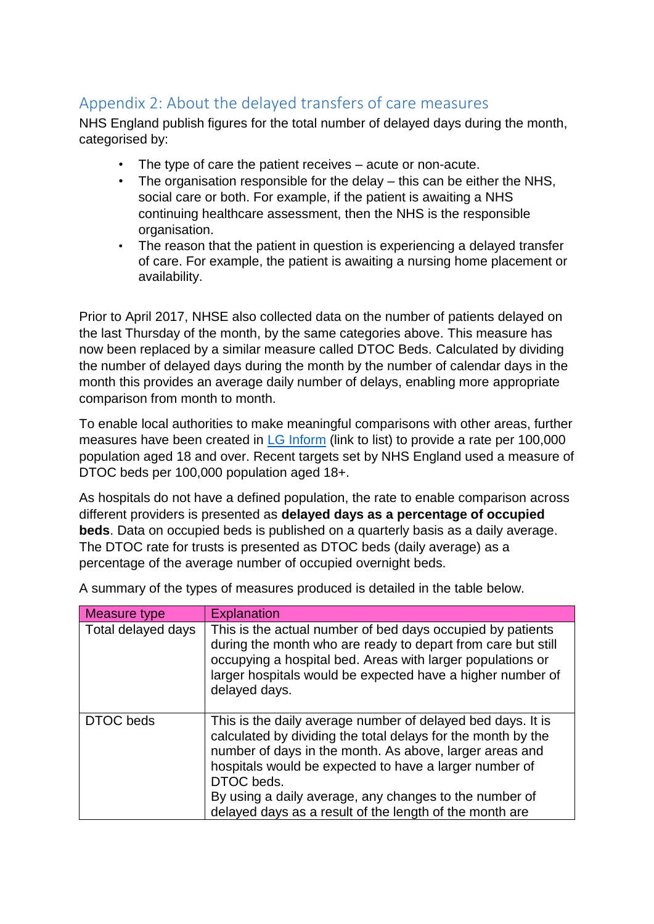## Appendix 2: About the delayed transfers of care measures

NHS England publish figures for the total number of delayed days during the month, categorised by:

- The type of care the patient receives acute or non-acute.
- The organisation responsible for the delay this can be either the NHS, social care or both. For example, if the patient is awaiting a NHS continuing healthcare assessment, then the NHS is the responsible organisation.
- The reason that the patient in question is experiencing a delayed transfer of care. For example, the patient is awaiting a nursing home placement or availability.

Prior to April 2017, NHSE also collected data on the number of patients delayed on the last Thursday of the month, by the same categories above. This measure has now been replaced by a similar measure called DTOC Beds. Calculated by dividing the number of delayed days during the month by the number of calendar days in the month this provides an average daily number of delays, enabling more appropriate comparison from month to month.

To enable local authorities to make meaningful comparisons with other areas, further measures have been created in [LG Inform](http://e-sd.org/yzss1) (link to list) to provide a rate per 100,000 population aged 18 and over. Recent targets set by NHS England used a measure of DTOC beds per 100,000 population aged 18+.

As hospitals do not have a defined population, the rate to enable comparison across different providers is presented as **delayed days as a percentage of occupied beds**. Data on occupied beds is published on a quarterly basis as a daily average. The DTOC rate for trusts is presented as DTOC beds (daily average) as a percentage of the average number of occupied overnight beds.

| Measure type       | Explanation                                                                                                                                                                                                                                                                                                                                                                         |
|--------------------|-------------------------------------------------------------------------------------------------------------------------------------------------------------------------------------------------------------------------------------------------------------------------------------------------------------------------------------------------------------------------------------|
| Total delayed days | This is the actual number of bed days occupied by patients<br>during the month who are ready to depart from care but still<br>occupying a hospital bed. Areas with larger populations or<br>larger hospitals would be expected have a higher number of<br>delayed days.                                                                                                             |
| DTOC beds          | This is the daily average number of delayed bed days. It is<br>calculated by dividing the total delays for the month by the<br>number of days in the month. As above, larger areas and<br>hospitals would be expected to have a larger number of<br>DTOC beds.<br>By using a daily average, any changes to the number of<br>delayed days as a result of the length of the month are |

A summary of the types of measures produced is detailed in the table below.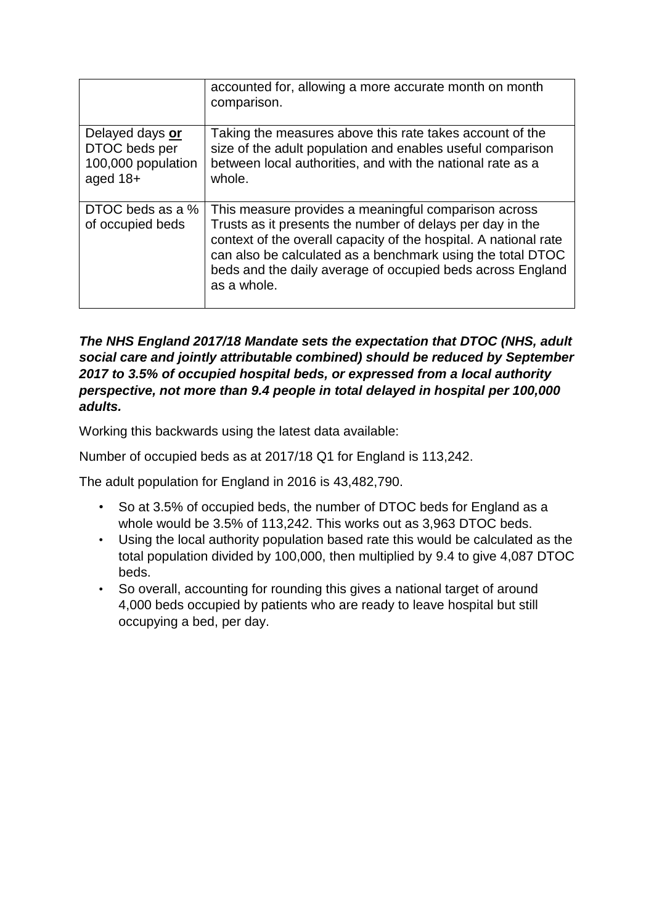|                                                                      | accounted for, allowing a more accurate month on month<br>comparison.                                                                                                                                                                                                                                                            |
|----------------------------------------------------------------------|----------------------------------------------------------------------------------------------------------------------------------------------------------------------------------------------------------------------------------------------------------------------------------------------------------------------------------|
| Delayed days or<br>DTOC beds per<br>100,000 population<br>aged $18+$ | Taking the measures above this rate takes account of the<br>size of the adult population and enables useful comparison<br>between local authorities, and with the national rate as a<br>whole.                                                                                                                                   |
| DTOC beds as a %<br>of occupied beds                                 | This measure provides a meaningful comparison across<br>Trusts as it presents the number of delays per day in the<br>context of the overall capacity of the hospital. A national rate<br>can also be calculated as a benchmark using the total DTOC<br>beds and the daily average of occupied beds across England<br>as a whole. |

## *The NHS England 2017/18 Mandate sets the expectation that DTOC (NHS, adult social care and jointly attributable combined) should be reduced by September 2017 to 3.5% of occupied hospital beds, or expressed from a local authority perspective, not more than 9.4 people in total delayed in hospital per 100,000 adults.*

Working this backwards using the latest data available:

Number of occupied beds as at 2017/18 Q1 for England is 113,242.

The adult population for England in 2016 is 43,482,790.

- So at 3.5% of occupied beds, the number of DTOC beds for England as a whole would be 3.5% of 113,242. This works out as 3,963 DTOC beds.
- Using the local authority population based rate this would be calculated as the total population divided by 100,000, then multiplied by 9.4 to give 4,087 DTOC beds.
- So overall, accounting for rounding this gives a national target of around 4,000 beds occupied by patients who are ready to leave hospital but still occupying a bed, per day.